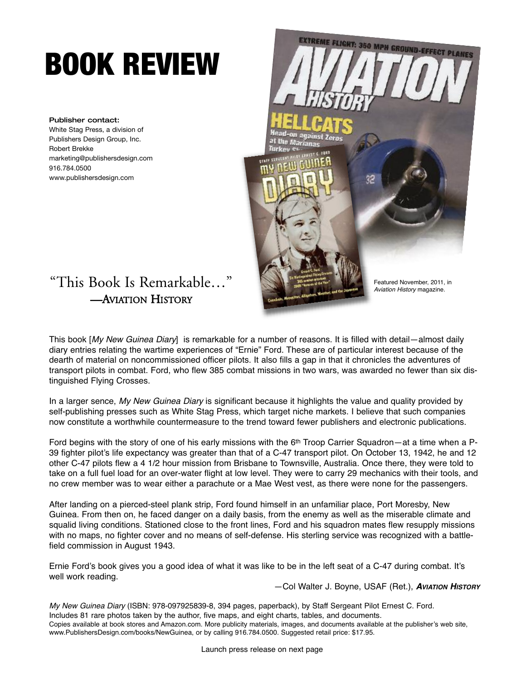## **BOOK REVIEW**

**Publisher contact:** White Stag Press, a division of Publishers Design Group, Inc. Robert Brekke marketing@publishersdesign.com 916.784.0500 www.publishersdesign.com



## "This Book Is Remarkable…" —AVIATION HISTORY

This book [My New Guinea Diary] is remarkable for a number of reasons. It is filled with detail—almost daily diary entries relating the wartime experiences of "Ernie" Ford. These are of particular interest because of the dearth of material on noncommissioned officer pilots. It also fills a gap in that it chronicles the adventures of transport pilots in combat. Ford, who flew 385 combat missions in two wars, was awarded no fewer than six distinguished Flying Crosses.

In a larger sence, My New Guinea Diary is significant because it highlights the value and quality provided by self-publishing presses such as White Stag Press, which target niche markets. I believe that such companies now constitute a worthwhile countermeasure to the trend toward fewer publishers and electronic publications.

Ford begins with the story of one of his early missions with the 6<sup>th</sup> Troop Carrier Squadron—at a time when a P-39 fighter pilot's life expectancy was greater than that of a C-47 transport pilot. On October 13, 1942, he and 12 other C-47 pilots flew a 4 1/2 hour mission from Brisbane to Townsville, Australia. Once there, they were told to take on a full fuel load for an over-water flight at low level. They were to carry 29 mechanics with their tools, and no crew member was to wear either a parachute or a Mae West vest, as there were none for the passengers.

After landing on a pierced-steel plank strip, Ford found himself in an unfamiliar place, Port Moresby, New Guinea. From then on, he faced danger on a daily basis, from the enemy as well as the miserable climate and squalid living conditions. Stationed close to the front lines, Ford and his squadron mates flew resupply missions with no maps, no fighter cover and no means of self-defense. His sterling service was recognized with a battlefield commission in August 1943.

Ernie Ford's book gives you a good idea of what it was like to be in the left seat of a C-47 during combat. It's well work reading.

—Col Walter J. Boyne, USAF (Ret.), **AVIATION HISTORY**

My New Guinea Diary (ISBN: 978-097925839-8, 394 pages, paperback), by Staff Sergeant Pilot Ernest C. Ford. Includes 81 rare photos taken by the author, five maps, and eight charts, tables, and documents. Copies available at book stores and Amazon.com. More publicity materials, images, and documents available at the publisher's web site, www.PublishersDesign.com/books/NewGuinea, or by calling 916.784.0500. Suggested retail price: \$17.95.